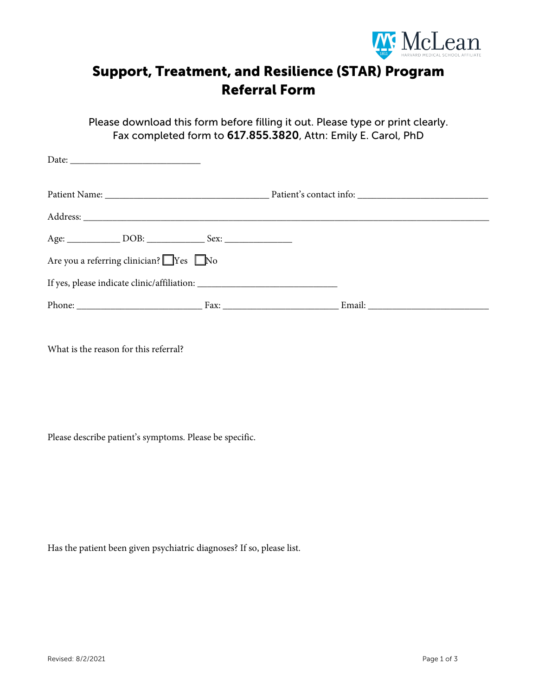

## Support, Treatment, and Resilience (STAR) Program Referral Form

Please download this form before filling it out. Please type or print clearly. Fax completed form to 617.855.3820, Attn: Emily E. Carol, PhD

| Are you a referring clinician? $\Box$ Yes $\Box$ No |  |  |  |  |
|-----------------------------------------------------|--|--|--|--|
|                                                     |  |  |  |  |
|                                                     |  |  |  |  |

What is the reason for this referral?

Please describe patient's symptoms. Please be specific.

Has the patient been given psychiatric diagnoses? If so, please list.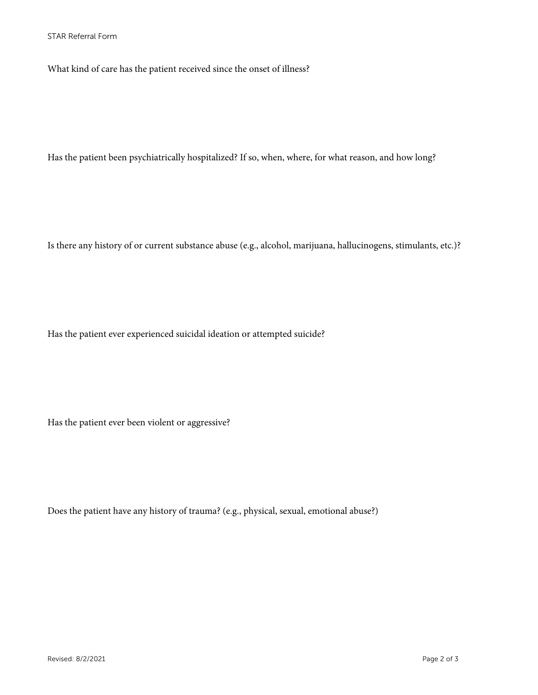What kind of care has the patient received since the onset of illness?

Has the patient been psychiatrically hospitalized? If so, when, where, for what reason, and how long?

Is there any history of or current substance abuse (e.g., alcohol, marijuana, hallucinogens, stimulants, etc.)?

Has the patient ever experienced suicidal ideation or attempted suicide?

Has the patient ever been violent or aggressive?

Does the patient have any history of trauma? (e.g., physical, sexual, emotional abuse?)